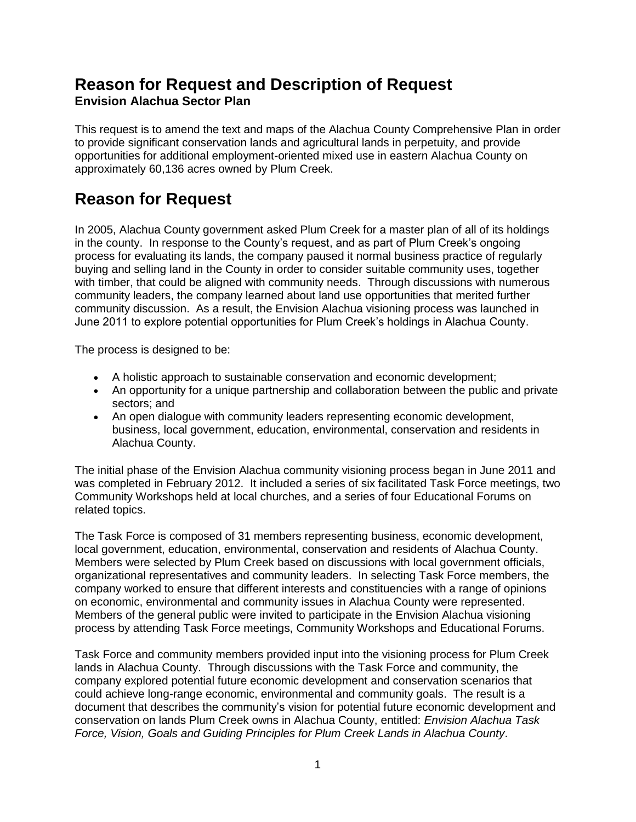## **Reason for Request and Description of Request Envision Alachua Sector Plan**

This request is to amend the text and maps of the Alachua County Comprehensive Plan in order to provide significant conservation lands and agricultural lands in perpetuity, and provide opportunities for additional employment-oriented mixed use in eastern Alachua County on approximately 60,136 acres owned by Plum Creek.

# **Reason for Request**

In 2005, Alachua County government asked Plum Creek for a master plan of all of its holdings in the county. In response to the County's request, and as part of Plum Creek's ongoing process for evaluating its lands, the company paused it normal business practice of regularly buying and selling land in the County in order to consider suitable community uses, together with timber, that could be aligned with community needs. Through discussions with numerous community leaders, the company learned about land use opportunities that merited further community discussion. As a result, the Envision Alachua visioning process was launched in June 2011 to explore potential opportunities for Plum Creek's holdings in Alachua County.

The process is designed to be:

- A holistic approach to sustainable conservation and economic development;
- An opportunity for a unique partnership and collaboration between the public and private sectors; and
- An open dialogue with community leaders representing economic development, business, local government, education, environmental, conservation and residents in Alachua County.

The initial phase of the Envision Alachua community visioning process began in June 2011 and was completed in February 2012. It included a series of six facilitated Task Force meetings, two Community Workshops held at local churches, and a series of four Educational Forums on related topics.

The Task Force is composed of 31 members representing business, economic development, local government, education, environmental, conservation and residents of Alachua County. Members were selected by Plum Creek based on discussions with local government officials, organizational representatives and community leaders. In selecting Task Force members, the company worked to ensure that different interests and constituencies with a range of opinions on economic, environmental and community issues in Alachua County were represented. Members of the general public were invited to participate in the Envision Alachua visioning process by attending Task Force meetings, Community Workshops and Educational Forums.

Task Force and community members provided input into the visioning process for Plum Creek lands in Alachua County. Through discussions with the Task Force and community, the company explored potential future economic development and conservation scenarios that could achieve long-range economic, environmental and community goals. The result is a document that describes the community's vision for potential future economic development and conservation on lands Plum Creek owns in Alachua County, entitled: *Envision Alachua Task Force, Vision, Goals and Guiding Principles for Plum Creek Lands in Alachua County*.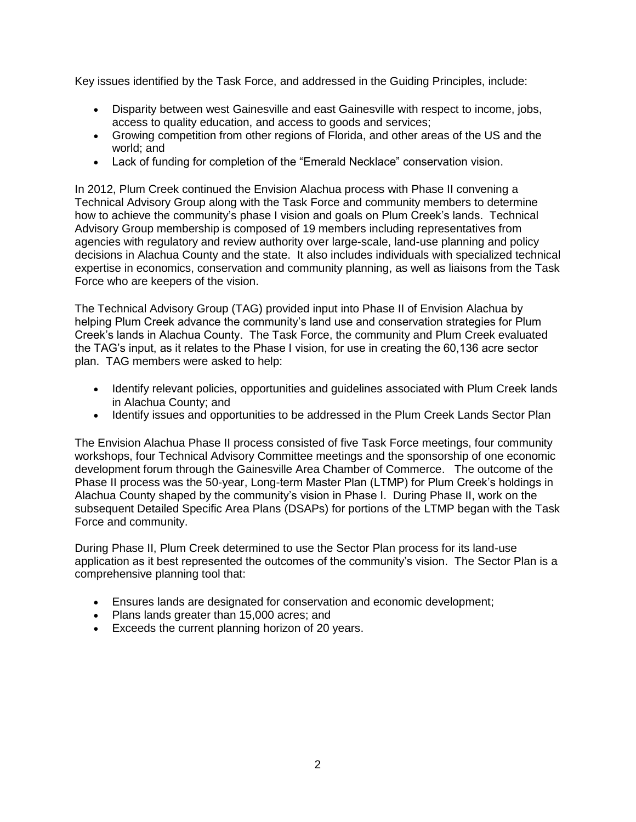Key issues identified by the Task Force, and addressed in the Guiding Principles, include:

- Disparity between west Gainesville and east Gainesville with respect to income, jobs, access to quality education, and access to goods and services;
- Growing competition from other regions of Florida, and other areas of the US and the world; and
- Lack of funding for completion of the "Emerald Necklace" conservation vision.

In 2012, Plum Creek continued the Envision Alachua process with Phase II convening a Technical Advisory Group along with the Task Force and community members to determine how to achieve the community's phase I vision and goals on Plum Creek's lands. Technical Advisory Group membership is composed of 19 members including representatives from agencies with regulatory and review authority over large-scale, land-use planning and policy decisions in Alachua County and the state. It also includes individuals with specialized technical expertise in economics, conservation and community planning, as well as liaisons from the Task Force who are keepers of the vision.

The Technical Advisory Group (TAG) provided input into Phase II of Envision Alachua by helping Plum Creek advance the community's land use and conservation strategies for Plum Creek's lands in Alachua County. The Task Force, the community and Plum Creek evaluated the TAG's input, as it relates to the Phase I vision, for use in creating the 60,136 acre sector plan. TAG members were asked to help:

- Identify relevant policies, opportunities and guidelines associated with Plum Creek lands in Alachua County; and
- Identify issues and opportunities to be addressed in the Plum Creek Lands Sector Plan

The Envision Alachua Phase II process consisted of five Task Force meetings, four community workshops, four Technical Advisory Committee meetings and the sponsorship of one economic development forum through the Gainesville Area Chamber of Commerce. The outcome of the Phase II process was the 50-year, Long-term Master Plan (LTMP) for Plum Creek's holdings in Alachua County shaped by the community's vision in Phase I. During Phase II, work on the subsequent Detailed Specific Area Plans (DSAPs) for portions of the LTMP began with the Task Force and community.

During Phase II, Plum Creek determined to use the Sector Plan process for its land-use application as it best represented the outcomes of the community's vision. The Sector Plan is a comprehensive planning tool that:

- Ensures lands are designated for conservation and economic development;
- Plans lands greater than 15,000 acres; and
- Exceeds the current planning horizon of 20 years.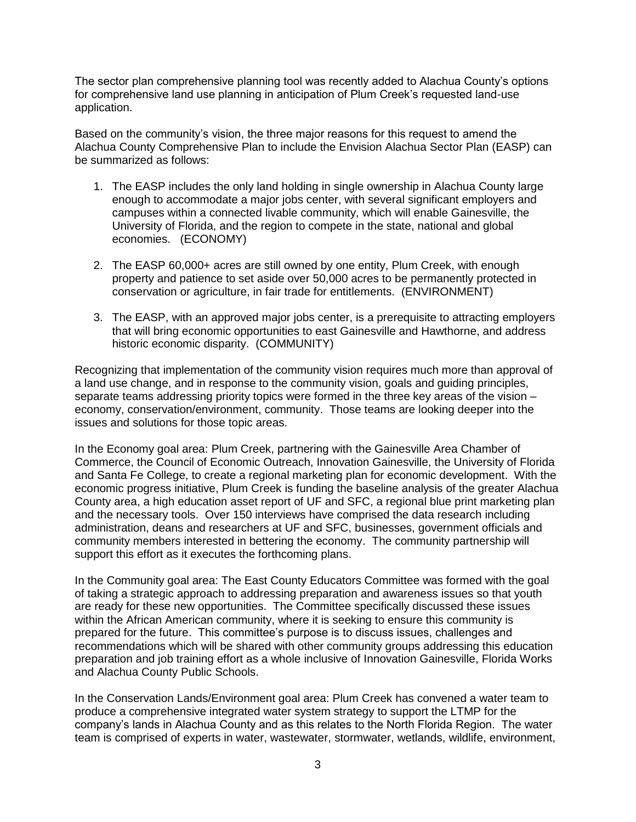The sector plan comprehensive planning tool was recently added to Alachua County's options for comprehensive land use planning in anticipation of Plum Creek's requested land-use application.

Based on the community's vision, the three major reasons for this request to amend the Alachua County Comprehensive Plan to include the Envision Alachua Sector Plan (EASP) can be summarized as follows:

- 1. The EASP includes the only land holding in single ownership in Alachua County large enough to accommodate a major jobs center, with several significant employers and campuses within a connected livable community, which will enable Gainesville, the University of Florida, and the region to compete in the state, national and global economies. (ECONOMY)
- 2. The EASP 60,000+ acres are still owned by one entity, Plum Creek, with enough property and patience to set aside over 50,000 acres to be permanently protected in conservation or agriculture, in fair trade for entitlements. (ENVIRONMENT)
- 3. The EASP, with an approved major jobs center, is a prerequisite to attracting employers that will bring economic opportunities to east Gainesville and Hawthorne, and address historic economic disparity. (COMMUNITY)

Recognizing that implementation of the community vision requires much more than approval of a land use change, and in response to the community vision, goals and guiding principles, separate teams addressing priority topics were formed in the three key areas of the vision – economy, conservation/environment, community. Those teams are looking deeper into the issues and solutions for those topic areas.

In the Economy goal area: Plum Creek, partnering with the Gainesville Area Chamber of Commerce, the Council of Economic Outreach, Innovation Gainesville, the University of Florida and Santa Fe College, to create a regional marketing plan for economic development. With the economic progress initiative, Plum Creek is funding the baseline analysis of the greater Alachua County area, a high education asset report of UF and SFC, a regional blue print marketing plan and the necessary tools. Over 150 interviews have comprised the data research including administration, deans and researchers at UF and SFC, businesses, government officials and community members interested in bettering the economy. The community partnership will support this effort as it executes the forthcoming plans.

In the Community goal area: The East County Educators Committee was formed with the goal of taking a strategic approach to addressing preparation and awareness issues so that youth are ready for these new opportunities. The Committee specifically discussed these issues within the African American community, where it is seeking to ensure this community is prepared for the future. This committee's purpose is to discuss issues, challenges and recommendations which will be shared with other community groups addressing this education preparation and job training effort as a whole inclusive of Innovation Gainesville, Florida Works and Alachua County Public Schools.

In the Conservation Lands/Environment goal area: Plum Creek has convened a water team to produce a comprehensive integrated water system strategy to support the LTMP for the company's lands in Alachua County and as this relates to the North Florida Region. The water team is comprised of experts in water, wastewater, stormwater, wetlands, wildlife, environment,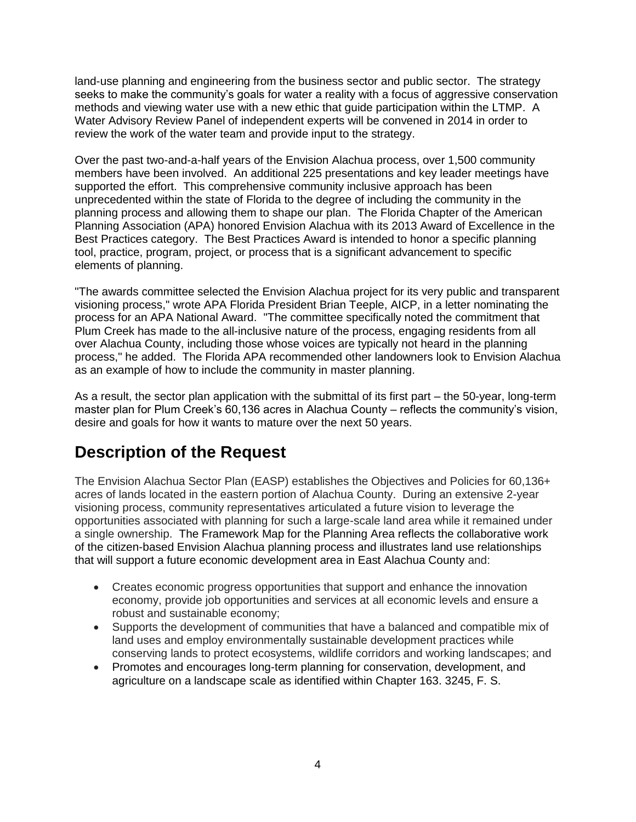land-use planning and engineering from the business sector and public sector. The strategy seeks to make the community's goals for water a reality with a focus of aggressive conservation methods and viewing water use with a new ethic that guide participation within the LTMP. A Water Advisory Review Panel of independent experts will be convened in 2014 in order to review the work of the water team and provide input to the strategy.

Over the past two-and-a-half years of the Envision Alachua process, over 1,500 community members have been involved. An additional 225 presentations and key leader meetings have supported the effort. This comprehensive community inclusive approach has been unprecedented within the state of Florida to the degree of including the community in the planning process and allowing them to shape our plan. The Florida Chapter of the American Planning Association (APA) honored Envision Alachua with its 2013 Award of Excellence in the Best Practices category. The Best Practices Award is intended to honor a specific planning tool, practice, program, project, or process that is a significant advancement to specific elements of planning.

"The awards committee selected the Envision Alachua project for its very public and transparent visioning process," wrote APA Florida President Brian Teeple, AICP, in a letter nominating the process for an APA National Award. "The committee specifically noted the commitment that Plum Creek has made to the all-inclusive nature of the process, engaging residents from all over Alachua County, including those whose voices are typically not heard in the planning process," he added. The Florida APA recommended other landowners look to Envision Alachua as an example of how to include the community in master planning.

As a result, the sector plan application with the submittal of its first part – the 50-year, long-term master plan for Plum Creek's 60,136 acres in Alachua County – reflects the community's vision, desire and goals for how it wants to mature over the next 50 years.

# **Description of the Request**

The Envision Alachua Sector Plan (EASP) establishes the Objectives and Policies for 60,136+ acres of lands located in the eastern portion of Alachua County. During an extensive 2-year visioning process, community representatives articulated a future vision to leverage the opportunities associated with planning for such a large-scale land area while it remained under a single ownership. The Framework Map for the Planning Area reflects the collaborative work of the citizen-based Envision Alachua planning process and illustrates land use relationships that will support a future economic development area in East Alachua County and:

- Creates economic progress opportunities that support and enhance the innovation economy, provide job opportunities and services at all economic levels and ensure a robust and sustainable economy;
- Supports the development of communities that have a balanced and compatible mix of land uses and employ environmentally sustainable development practices while conserving lands to protect ecosystems, wildlife corridors and working landscapes; and
- Promotes and encourages long-term planning for conservation, development, and agriculture on a landscape scale as identified within Chapter 163. 3245, F. S.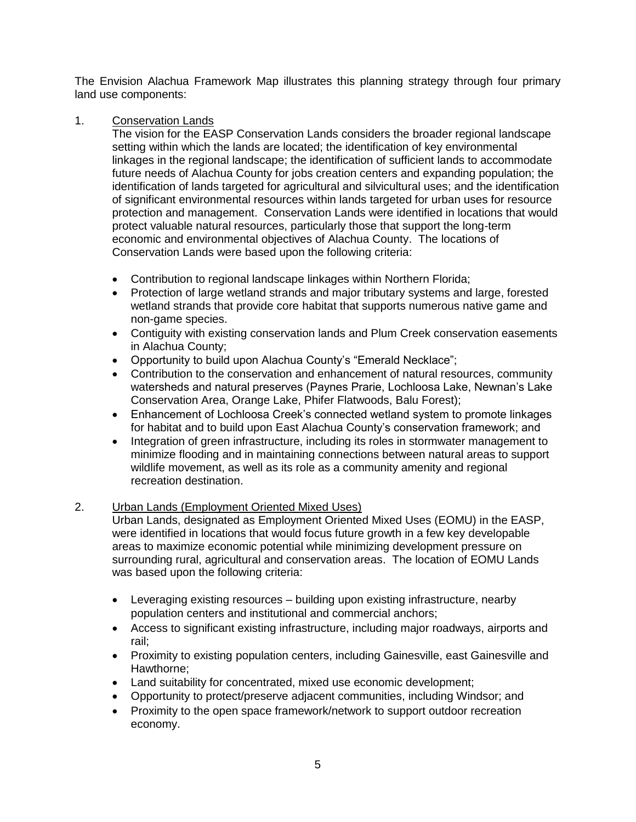The Envision Alachua Framework Map illustrates this planning strategy through four primary land use components:

## 1. Conservation Lands

The vision for the EASP Conservation Lands considers the broader regional landscape setting within which the lands are located; the identification of key environmental linkages in the regional landscape; the identification of sufficient lands to accommodate future needs of Alachua County for jobs creation centers and expanding population; the identification of lands targeted for agricultural and silvicultural uses; and the identification of significant environmental resources within lands targeted for urban uses for resource protection and management. Conservation Lands were identified in locations that would protect valuable natural resources, particularly those that support the long-term economic and environmental objectives of Alachua County. The locations of Conservation Lands were based upon the following criteria:

- Contribution to regional landscape linkages within Northern Florida;
- Protection of large wetland strands and major tributary systems and large, forested wetland strands that provide core habitat that supports numerous native game and non-game species.
- Contiguity with existing conservation lands and Plum Creek conservation easements in Alachua County;
- Opportunity to build upon Alachua County's "Emerald Necklace";
- Contribution to the conservation and enhancement of natural resources, community watersheds and natural preserves (Paynes Prarie, Lochloosa Lake, Newnan's Lake Conservation Area, Orange Lake, Phifer Flatwoods, Balu Forest);
- Enhancement of Lochloosa Creek's connected wetland system to promote linkages for habitat and to build upon East Alachua County's conservation framework; and
- Integration of green infrastructure, including its roles in stormwater management to minimize flooding and in maintaining connections between natural areas to support wildlife movement, as well as its role as a community amenity and regional recreation destination.

## 2. Urban Lands (Employment Oriented Mixed Uses)

Urban Lands, designated as Employment Oriented Mixed Uses (EOMU) in the EASP, were identified in locations that would focus future growth in a few key developable areas to maximize economic potential while minimizing development pressure on surrounding rural, agricultural and conservation areas. The location of EOMU Lands was based upon the following criteria:

- Leveraging existing resources building upon existing infrastructure, nearby population centers and institutional and commercial anchors;
- Access to significant existing infrastructure, including major roadways, airports and rail;
- Proximity to existing population centers, including Gainesville, east Gainesville and Hawthorne;
- Land suitability for concentrated, mixed use economic development;
- Opportunity to protect/preserve adjacent communities, including Windsor; and
- Proximity to the open space framework/network to support outdoor recreation economy.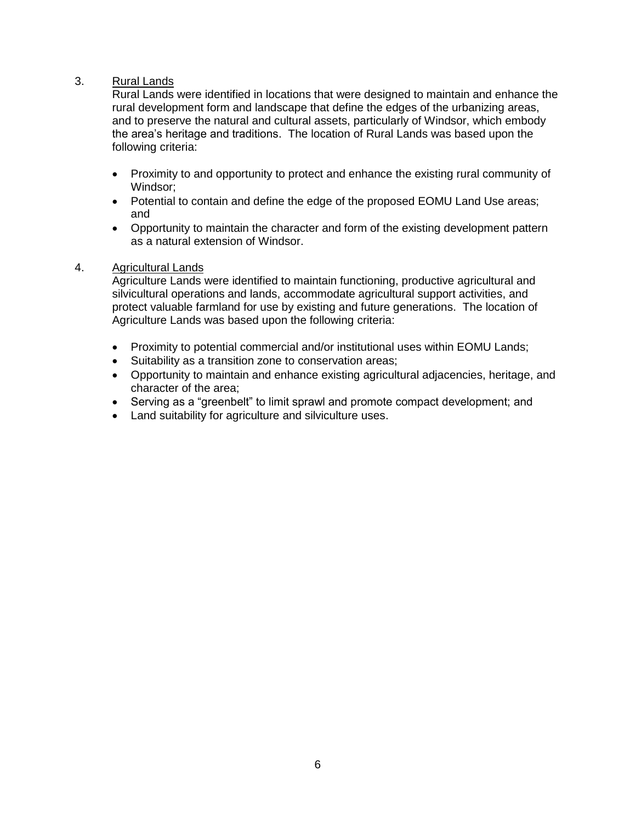## 3. Rural Lands

Rural Lands were identified in locations that were designed to maintain and enhance the rural development form and landscape that define the edges of the urbanizing areas, and to preserve the natural and cultural assets, particularly of Windsor, which embody the area's heritage and traditions. The location of Rural Lands was based upon the following criteria:

- Proximity to and opportunity to protect and enhance the existing rural community of Windsor;
- Potential to contain and define the edge of the proposed EOMU Land Use areas; and
- Opportunity to maintain the character and form of the existing development pattern as a natural extension of Windsor.

## 4. Agricultural Lands

Agriculture Lands were identified to maintain functioning, productive agricultural and silvicultural operations and lands, accommodate agricultural support activities, and protect valuable farmland for use by existing and future generations. The location of Agriculture Lands was based upon the following criteria:

- Proximity to potential commercial and/or institutional uses within EOMU Lands;
- Suitability as a transition zone to conservation areas;
- Opportunity to maintain and enhance existing agricultural adjacencies, heritage, and character of the area;
- Serving as a "greenbelt" to limit sprawl and promote compact development; and
- Land suitability for agriculture and silviculture uses.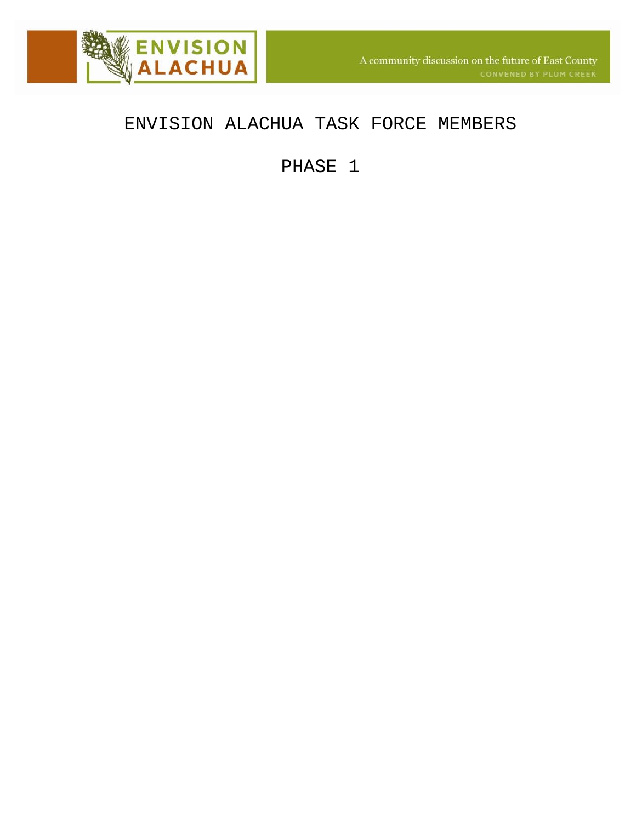

# ENVISION ALACHUA TASK FORCE MEMBERS

PHASE 1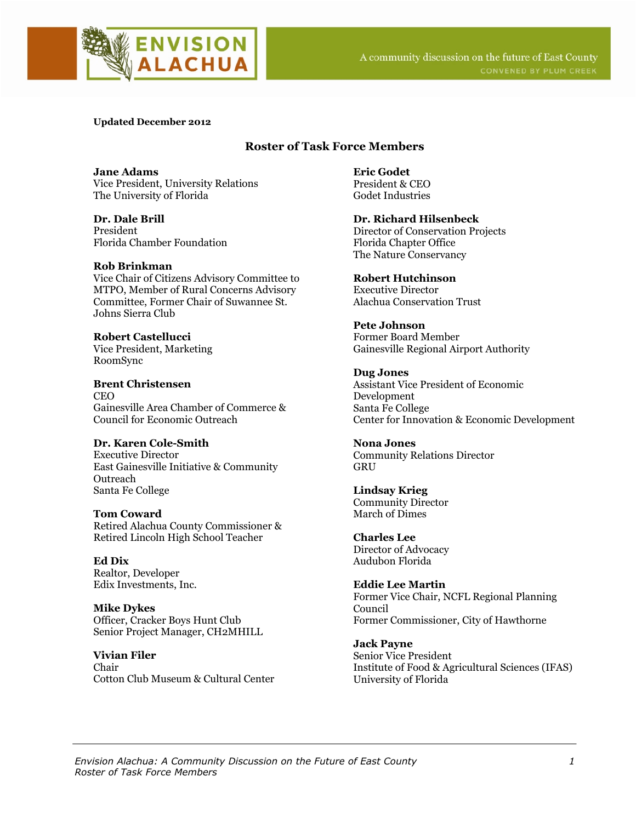

**Updated December 2012** 

## **Roster of Task Force Members**

**Jane Adams**  Vice President, University Relations The University of Florida

**Dr. Dale Brill**  President Florida Chamber Foundation

## **Rob Brinkman**

Vice Chair of Citizens Advisory Committee to MTPO, Member of Rural Concerns Advisory Committee, Former Chair of Suwannee St. Johns Sierra Club

**Robert Castellucci**  Vice President, Marketing RoomSync

**Brent Christensen**  CEO Gainesville Area Chamber of Commerce & Council for Economic Outreach

## **Dr. Karen Cole-Smith**

Executive Director East Gainesville Initiative & Community **Outreach** Santa Fe College

#### **Tom Coward**

Retired Alachua County Commissioner & Retired Lincoln High School Teacher

**Ed Dix**  Realtor, Developer Edix Investments, Inc.

**Mike Dykes**  Officer, Cracker Boys Hunt Club Senior Project Manager, CH2MHILL

**Vivian Filer**  Chair Cotton Club Museum & Cultural Center **Eric Godet**  President & CEO Godet Industries

**Dr. Richard Hilsenbeck**  Director of Conservation Projects Florida Chapter Office The Nature Conservancy

#### **Robert Hutchinson**

Executive Director Alachua Conservation Trust

**Pete Johnson**  Former Board Member Gainesville Regional Airport Authority

**Dug Jones**  Assistant Vice President of Economic Development Santa Fe College Center for Innovation & Economic Development

**Nona Jones**  Community Relations Director **GRU** 

**Lindsay Krieg**  Community Director March of Dimes

**Charles Lee**  Director of Advocacy Audubon Florida

**Eddie Lee Martin**  Former Vice Chair, NCFL Regional Planning Council Former Commissioner, City of Hawthorne

**Jack Payne**  Senior Vice President Institute of Food & Agricultural Sciences (IFAS) University of Florida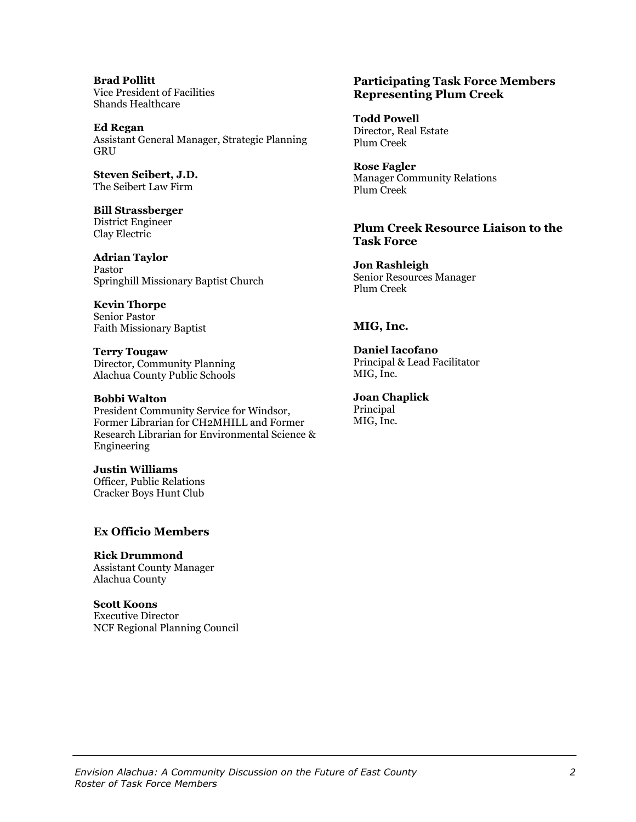**Brad Pollitt**  Vice President of Facilities Shands Healthcare

**Ed Regan**  Assistant General Manager, Strategic Planning **GRU** 

**Steven Seibert, J.D.**  The Seibert Law Firm

**Bill Strassberger**  District Engineer Clay Electric

**Adrian Taylor** Pastor Springhill Missionary Baptist Church

**Kevin Thorpe**  Senior Pastor Faith Missionary Baptist

**Terry Tougaw**  Director, Community Planning Alachua County Public Schools

#### **Bobbi Walton**

President Community Service for Windsor, Former Librarian for CH2MHILL and Former Research Librarian for Environmental Science & Engineering

**Justin Williams**  Officer, Public Relations Cracker Boys Hunt Club

## **Ex Officio Members**

**Rick Drummond**  Assistant County Manager Alachua County

**Scott Koons**  Executive Director NCF Regional Planning Council

## **Participating Task Force Members Representing Plum Creek**

**Todd Powell**  Director, Real Estate Plum Creek

**Rose Fagler**  Manager Community Relations Plum Creek

**Plum Creek Resource Liaison to the Task Force** 

**Jon Rashleigh**  Senior Resources Manager Plum Creek

## **MIG, Inc.**

**Daniel Iacofano**  Principal & Lead Facilitator MIG, Inc.

**Joan Chaplick**  Principal MIG, Inc.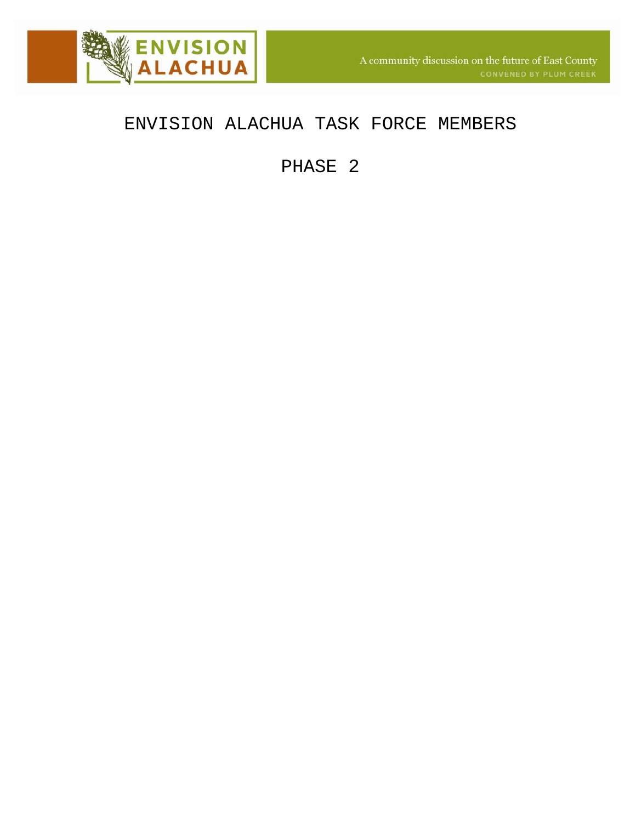

# ENVISION ALACHUA TASK FORCE MEMBERS

PHASE 2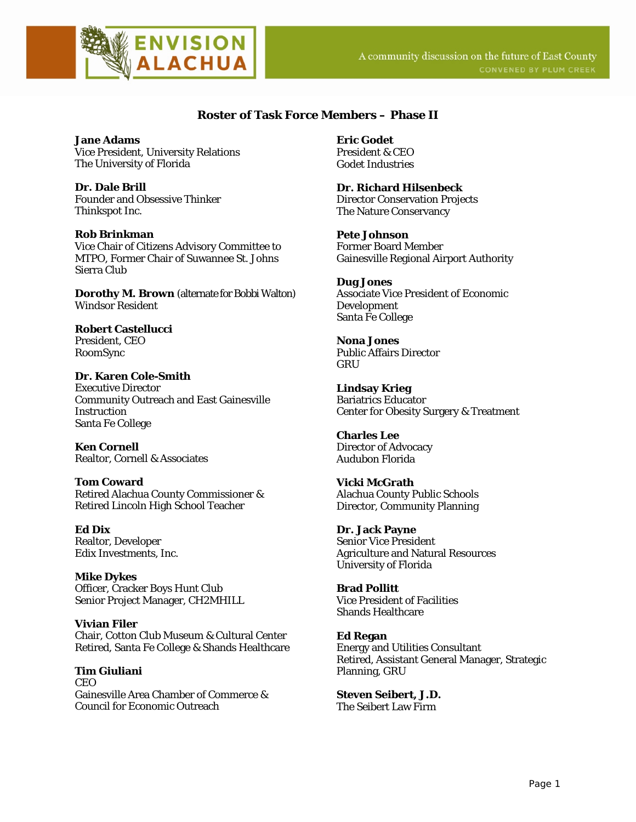

## **Roster of Task Force Members – Phase II**

**Jane Adams**  Vice President, University Relations The University of Florida

**Dr. Dale Brill**  Founder and Obsessive Thinker Thinkspot Inc.

## **Rob Brinkman**

Vice Chair of Citizens Advisory Committee to MTPO, Former Chair of Suwannee St. Johns Sierra Club

**Dorothy M. Brown** (alternate for Bobbi Walton) Windsor Resident

**Robert Castellucci**  President, CEO RoomSync

**Dr. Karen Cole-Smith**  Executive Director Community Outreach and East Gainesville **Instruction** Santa Fe College

**Ken Cornell** Realtor, Cornell & Associates

**Tom Coward**  Retired Alachua County Commissioner & Retired Lincoln High School Teacher

**Ed Dix**  Realtor, Developer Edix Investments, Inc.

**Mike Dykes**  Officer, Cracker Boys Hunt Club Senior Project Manager, CH2MHILL

**Vivian Filer**  Chair, Cotton Club Museum & Cultural Center Retired, Santa Fe College & Shands Healthcare

**Tim Giuliani CEO** Gainesville Area Chamber of Commerce & Council for Economic Outreach

**Eric Godet**  President & CEO Godet Industries

**Dr. Richard Hilsenbeck**  Director Conservation Projects The Nature Conservancy

**Pete Johnson**  Former Board Member Gainesville Regional Airport Authority

#### **Dug Jones**

Associate Vice President of Economic Development Santa Fe College

**Nona Jones**  Public Affairs Director **GRU** 

**Lindsay Krieg**  Bariatrics Educator Center for Obesity Surgery & Treatment

**Charles Lee**  Director of Advocacy Audubon Florida

**Vicki McGrath** Alachua County Public Schools Director, Community Planning

**Dr. Jack Payne**  Senior Vice President Agriculture and Natural Resources University of Florida

**Brad Pollitt**  Vice President of Facilities Shands Healthcare

**Ed Regan**  Energy and Utilities Consultant Retired, Assistant General Manager, Strategic Planning, GRU

**Steven Seibert, J.D.**  The Seibert Law Firm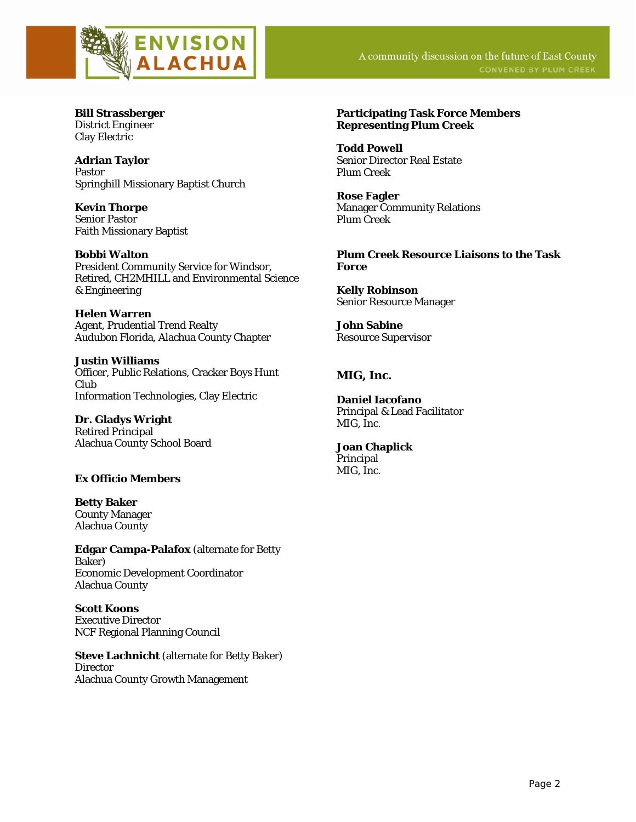

**Bill Strassberger**  District Engineer Clay Electric

**Adrian Taylor**  Pastor Springhill Missionary Baptist Church

**Kevin Thorpe**  Senior Pastor Faith Missionary Baptist

**Bobbi Walton**  President Community Service for Windsor, Retired, CH2MHILL and Environmental Science & Engineering

**Helen Warren** Agent, Prudential Trend Realty Audubon Florida, Alachua County Chapter

**Justin Williams**  Officer, Public Relations, Cracker Boys Hunt Club Information Technologies, Clay Electric

**Dr. Gladys Wright** Retired Principal Alachua County School Board

## **Ex Officio Members**

**Betty Baker**  County Manager Alachua County

**Edgar Campa-Palafox** (alternate for Betty Baker) Economic Development Coordinator Alachua County

**Scott Koons** Executive Director NCF Regional Planning Council

**Steve Lachnicht** (alternate for Betty Baker) **Director** Alachua County Growth Management

#### **Participating Task Force Members Representing Plum Creek**

**Todd Powell**  Senior Director Real Estate Plum Creek

**Rose Fagler**  Manager Community Relations Plum Creek

**Plum Creek Resource Liaisons to the Task Force** 

**Kelly Robinson**  Senior Resource Manager

**John Sabine**  Resource Supervisor

## **MIG, Inc.**

**Daniel Iacofano**  Principal & Lead Facilitator MIG, Inc.

**Joan Chaplick**  Principal MIG, Inc.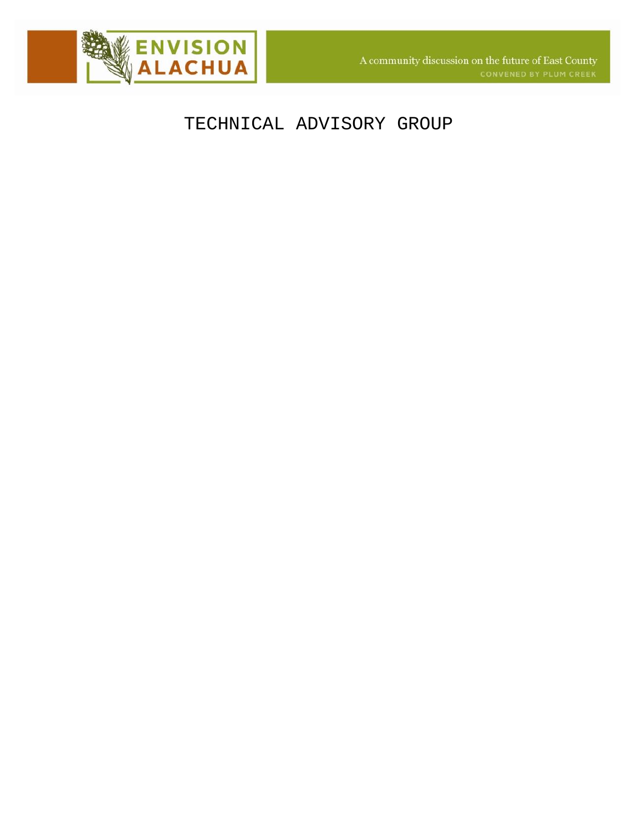

# TECHNICAL ADVISORY GROUP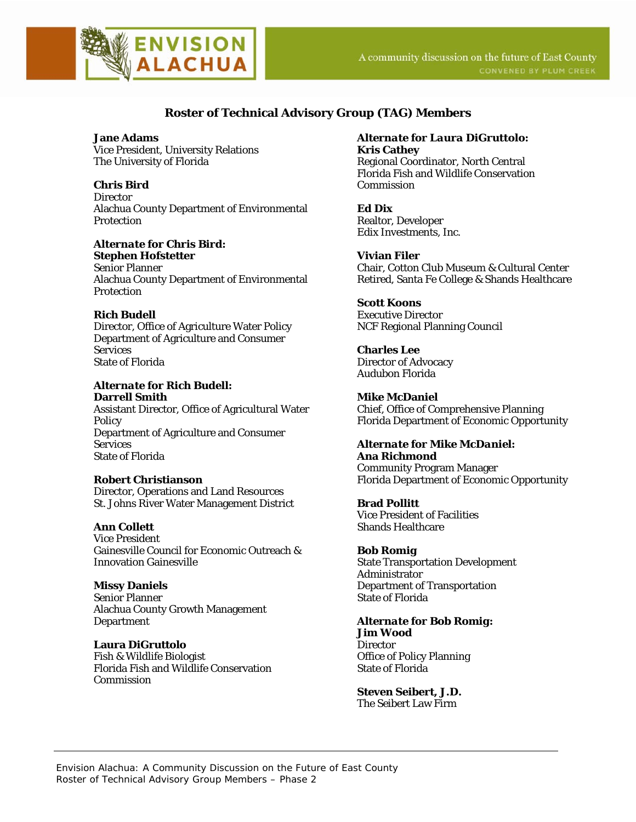

## **Roster of Technical Advisory Group (TAG) Members**

**Jane Adams** Vice President, University Relations The University of Florida

**Chris Bird Director** Alachua County Department of Environmental **Protection** 

## *Alternate for Chris Bird:*

**Stephen Hofstetter** Senior Planner Alachua County Department of Environmental **Protection** 

## **Rich Budell**

Director, Office of Agriculture Water Policy Department of Agriculture and Consumer **Services** State of Florida

#### *Alternate for Rich Budell:* **Darrell Smith**

Assistant Director, Office of Agricultural Water **Policy** Department of Agriculture and Consumer **Services** State of Florida

## **Robert Christianson**

Director, Operations and Land Resources St. Johns River Water Management District

## **Ann Collett**

Vice President Gainesville Council for Economic Outreach & Innovation Gainesville

## **Missy Daniels**

Senior Planner Alachua County Growth Management Department

## **Laura DiGruttolo**

Fish & Wildlife Biologist Florida Fish and Wildlife Conservation Commission

#### *Alternate for Laura DiGruttolo:* **Kris Cathey**

Regional Coordinator, North Central Florida Fish and Wildlife Conservation Commission

**Ed Dix** Realtor, Developer Edix Investments, Inc.

#### **Vivian Filer**

Chair, Cotton Club Museum & Cultural Center Retired, Santa Fe College & Shands Healthcare

#### **Scott Koons** Executive Director

NCF Regional Planning Council

**Charles Lee** Director of Advocacy Audubon Florida

**Mike McDaniel** Chief, Office of Comprehensive Planning Florida Department of Economic Opportunity

## *Alternate for Mike McDaniel:*

**Ana Richmond** Community Program Manager Florida Department of Economic Opportunity

**Brad Pollitt** Vice President of Facilities Shands Healthcare

## **Bob Romig**

State Transportation Development Administrator Department of Transportation State of Florida

## *Alternate for Bob Romig:* **Jim Wood**

**Director** Office of Policy Planning State of Florida

## **Steven Seibert, J.D.**

The Seibert Law Firm